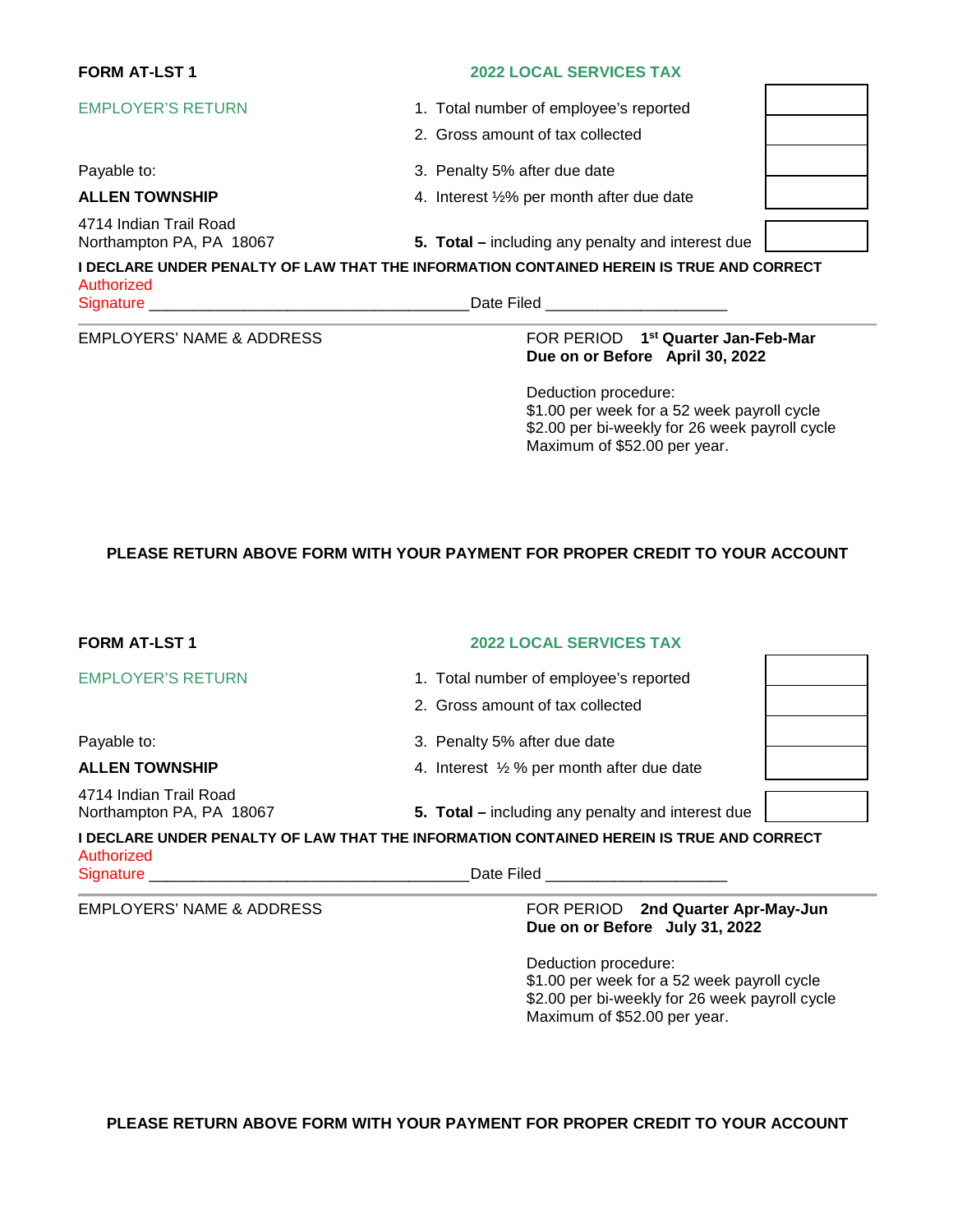# **FORM AT-LST 1 2022 LOCAL SERVICES TAX**

- EMPLOYER'S RETURN 1. Total number of employee's reported
	- 2. Gross amount of tax collected
- Payable to:  $\begin{array}{ccc} 3. & \text{Penalty} \ 5\% & \text{after due date} \end{array}$
- **ALLEN TOWNSHIP 4.** Interest 1/2% per month after due date



4714 Indian Trail Road

Northampton PA, PA 18067 **5. Total –** including any penalty and interest due

**I DECLARE UNDER PENALTY OF LAW THAT THE INFORMATION CONTAINED HEREIN IS TRUE AND CORRECT**  Authorized Signature **Example 20** and the set of the set of the Signature **Date Filed**  $\Box$ 

**EMPLOYERS' NAME & ADDRESS** 

### **FOR PERIOD** 1<sup>st</sup> Quarter Jan-Feb-Mar **Due on or Before April 30, 2022**

Deduction procedure: \$1.00 per week for a 52 week payroll cycle \$2.00 per bi-weekly for 26 week payroll cycle Maximum of \$52.00 per year.

# **PLEASE RETURN ABOVE FORM WITH YOUR PAYMENT FOR PROPER CREDIT TO YOUR ACCOUNT**

| <b>FORM AT-LST 1</b>                               | <b>2022 LOCAL SERVICES TAX</b>                                                           |  |
|----------------------------------------------------|------------------------------------------------------------------------------------------|--|
| <b>EMPLOYER'S RETURN</b>                           | 1. Total number of employee's reported                                                   |  |
|                                                    | 2. Gross amount of tax collected                                                         |  |
| Payable to:                                        | 3. Penalty 5% after due date                                                             |  |
| <b>ALLEN TOWNSHIP</b>                              | 4. Interest 1/2 % per month after due date                                               |  |
| 4714 Indian Trail Road<br>Northampton PA, PA 18067 | 5. Total – including any penalty and interest due                                        |  |
| Authorized                                         | I DECLARE UNDER PENALTY OF LAW THAT THE INFORMATION CONTAINED HEREIN IS TRUE AND CORRECT |  |
| Signature __________                               | Date Filed <b>Date Community Date Filed</b>                                              |  |
| <b>EMPLOYERS' NAME &amp; ADDRESS</b>               | FOR PERIOD 2nd Quarter Apr-May-Jun<br>Due on or Before July 31, 2022                     |  |

Deduction procedure: \$1.00 per week for a 52 week payroll cycle \$2.00 per bi-weekly for 26 week payroll cycle Maximum of \$52.00 per year.

**PLEASE RETURN ABOVE FORM WITH YOUR PAYMENT FOR PROPER CREDIT TO YOUR ACCOUNT**